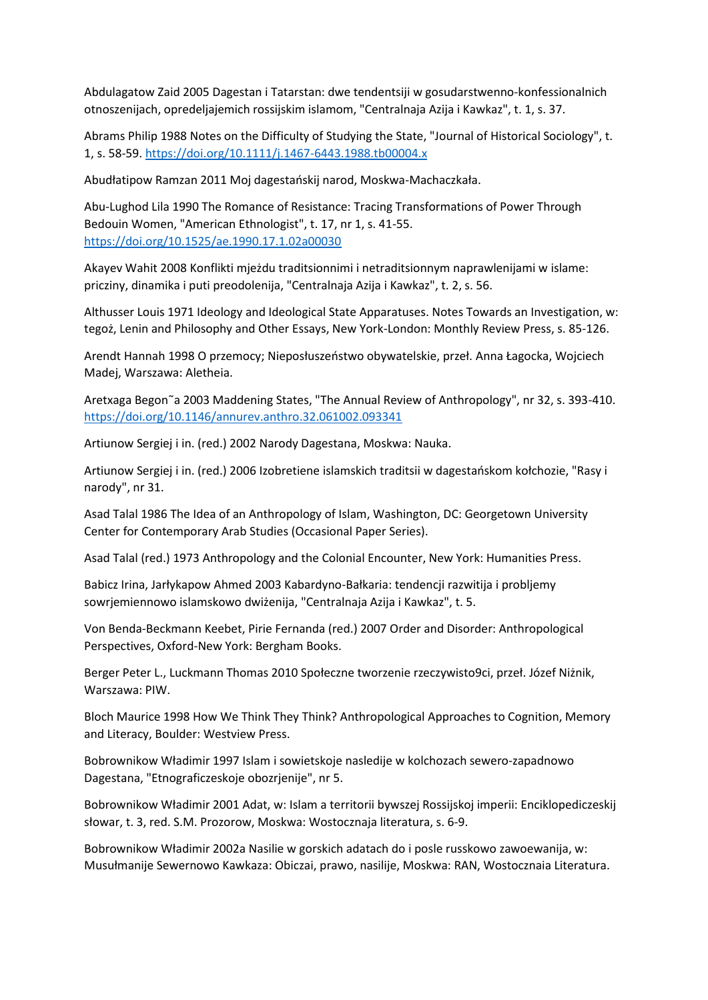Abdulagatow Zaid 2005 Dagestan i Tatarstan: dwe tendentsiji w gosudarstwenno-konfessionalnich otnoszenijach, opredeljajemich rossijskim islamom, "Centralnaja Azija i Kawkaz", t. 1, s. 37.

Abrams Philip 1988 Notes on the Difficulty of Studying the State, "Journal of Historical Sociology", t. 1, s. 58-59.<https://doi.org/10.1111/j.1467-6443.1988.tb00004.x>

Abudłatipow Ramzan 2011 Moj dagestańskij narod, Moskwa-Machaczkała.

Abu-Lughod Lila 1990 The Romance of Resistance: Tracing Transformations of Power Through Bedouin Women, "American Ethnologist", t. 17, nr 1, s. 41-55. <https://doi.org/10.1525/ae.1990.17.1.02a00030>

Akayev Wahit 2008 Konflikti mjeżdu traditsionnimi i netraditsionnym naprawlenijami w islame: pricziny, dinamika i puti preodolenija, "Centralnaja Azija i Kawkaz", t. 2, s. 56.

Althusser Louis 1971 Ideology and Ideological State Apparatuses. Notes Towards an Investigation, w: tegoż, Lenin and Philosophy and Other Essays, New York-London: Monthly Review Press, s. 85-126.

Arendt Hannah 1998 O przemocy; Nieposłuszeństwo obywatelskie, przeł. Anna Łagocka, Wojciech Madej, Warszawa: Aletheia.

Aretxaga Begon˜a 2003 Maddening States, "The Annual Review of Anthropology", nr 32, s. 393-410. <https://doi.org/10.1146/annurev.anthro.32.061002.093341>

Artiunow Sergiej i in. (red.) 2002 Narody Dagestana, Moskwa: Nauka.

Artiunow Sergiej i in. (red.) 2006 Izobretiene islamskich traditsii w dagestańskom kołchozie, "Rasy i narody", nr 31.

Asad Talal 1986 The Idea of an Anthropology of Islam, Washington, DC: Georgetown University Center for Contemporary Arab Studies (Occasional Paper Series).

Asad Talal (red.) 1973 Anthropology and the Colonial Encounter, New York: Humanities Press.

Babicz Irina, Jarłykapow Ahmed 2003 Kabardyno-Bałkaria: tendencji razwitija i probljemy sowrjemiennowo islamskowo dwiżenija, "Centralnaja Azija i Kawkaz", t. 5.

Von Benda-Beckmann Keebet, Pirie Fernanda (red.) 2007 Order and Disorder: Anthropological Perspectives, Oxford-New York: Bergham Books.

Berger Peter L., Luckmann Thomas 2010 Społeczne tworzenie rzeczywisto9ci, przeł. Józef Niżnik, Warszawa: PIW.

Bloch Maurice 1998 How We Think They Think? Anthropological Approaches to Cognition, Memory and Literacy, Boulder: Westview Press.

Bobrownikow Władimir 1997 Islam i sowietskoje nasledije w kolchozach sewero-zapadnowo Dagestana, "Etnograficzeskoje obozrjenije", nr 5.

Bobrownikow Władimir 2001 Adat, w: Islam a territorii bywszej Rossijskoj imperii: Enciklopediczeskij słowar, t. 3, red. S.M. Prozorow, Moskwa: Wostocznaja literatura, s. 6-9.

Bobrownikow Władimir 2002a Nasilie w gorskich adatach do i posle russkowo zawoewanija, w: Musułmanije Sewernowo Kawkaza: Obiczai, prawo, nasilije, Moskwa: RAN, Wostocznaia Literatura.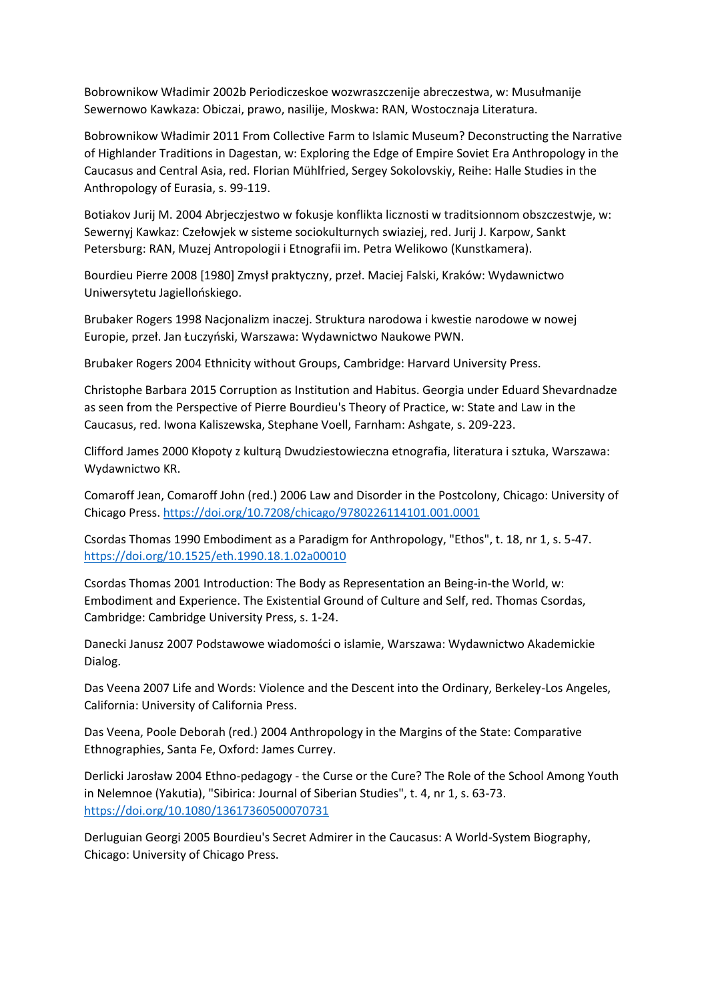Bobrownikow Władimir 2002b Periodiczeskoe wozwraszczenije abreczestwa, w: Musułmanije Sewernowo Kawkaza: Obiczai, prawo, nasilije, Moskwa: RAN, Wostocznaja Literatura.

Bobrownikow Władimir 2011 From Collective Farm to Islamic Museum? Deconstructing the Narrative of Highlander Traditions in Dagestan, w: Exploring the Edge of Empire Soviet Era Anthropology in the Caucasus and Central Asia, red. Florian Mühlfried, Sergey Sokolovskiy, Reihe: Halle Studies in the Anthropology of Eurasia, s. 99-119.

Botiakov Jurij M. 2004 Abrjeczjestwo w fokusje konflikta licznosti w traditsionnom obszczestwje, w: Sewernyj Kawkaz: Czełowjek w sisteme sociokulturnych swiaziej, red. Jurij J. Karpow, Sankt Petersburg: RAN, Muzej Antropologii i Etnografii im. Petra Welikowo (Kunstkamera).

Bourdieu Pierre 2008 [1980] Zmysł praktyczny, przeł. Maciej Falski, Kraków: Wydawnictwo Uniwersytetu Jagiellońskiego.

Brubaker Rogers 1998 Nacjonalizm inaczej. Struktura narodowa i kwestie narodowe w nowej Europie, przeł. Jan Łuczyński, Warszawa: Wydawnictwo Naukowe PWN.

Brubaker Rogers 2004 Ethnicity without Groups, Cambridge: Harvard University Press.

Christophe Barbara 2015 Corruption as Institution and Habitus. Georgia under Eduard Shevardnadze as seen from the Perspective of Pierre Bourdieu's Theory of Practice, w: State and Law in the Caucasus, red. Iwona Kaliszewska, Stephane Voell, Farnham: Ashgate, s. 209-223.

Clifford James 2000 Kłopoty z kulturą Dwudziestowieczna etnografia, literatura i sztuka, Warszawa: Wydawnictwo KR.

Comaroff Jean, Comaroff John (red.) 2006 Law and Disorder in the Postcolony, Chicago: University of Chicago Press.<https://doi.org/10.7208/chicago/9780226114101.001.0001>

Csordas Thomas 1990 Embodiment as a Paradigm for Anthropology, "Ethos", t. 18, nr 1, s. 5-47. <https://doi.org/10.1525/eth.1990.18.1.02a00010>

Csordas Thomas 2001 Introduction: The Body as Representation an Being-in-the World, w: Embodiment and Experience. The Existential Ground of Culture and Self, red. Thomas Csordas, Cambridge: Cambridge University Press, s. 1-24.

Danecki Janusz 2007 Podstawowe wiadomości o islamie, Warszawa: Wydawnictwo Akademickie Dialog.

Das Veena 2007 Life and Words: Violence and the Descent into the Ordinary, Berkeley-Los Angeles, California: University of California Press.

Das Veena, Poole Deborah (red.) 2004 Anthropology in the Margins of the State: Comparative Ethnographies, Santa Fe, Oxford: James Currey.

Derlicki Jarosław 2004 Ethno-pedagogy - the Curse or the Cure? The Role of the School Among Youth in Nelemnoe (Yakutia), "Sibirica: Journal of Siberian Studies", t. 4, nr 1, s. 63-73. <https://doi.org/10.1080/13617360500070731>

Derluguian Georgi 2005 Bourdieu's Secret Admirer in the Caucasus: A World-System Biography, Chicago: University of Chicago Press.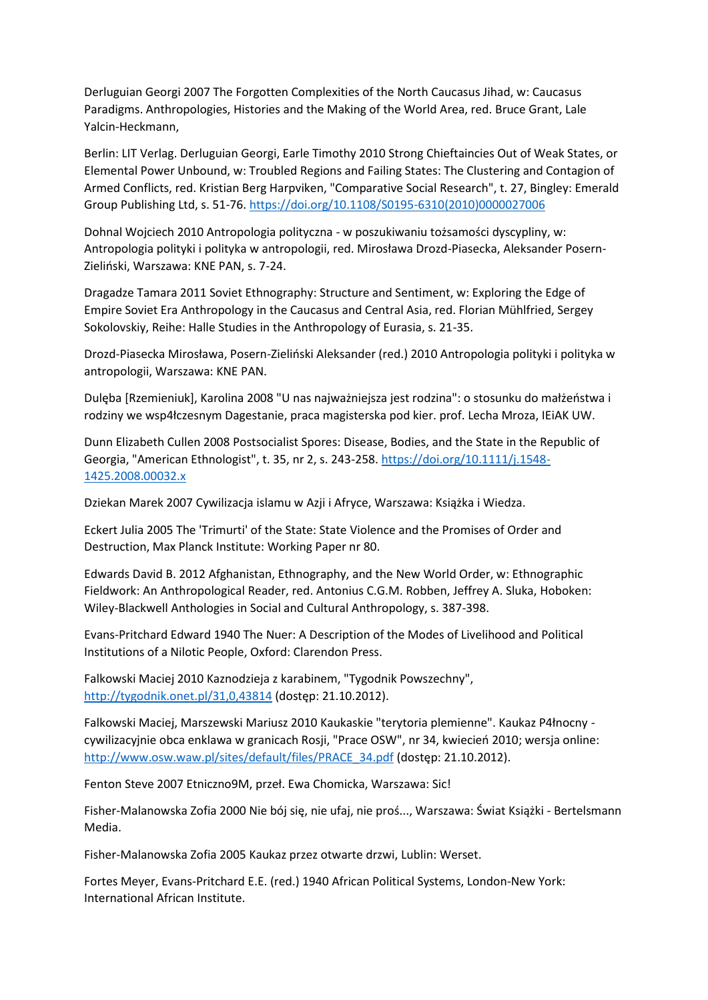Derluguian Georgi 2007 The Forgotten Complexities of the North Caucasus Jihad, w: Caucasus Paradigms. Anthropologies, Histories and the Making of the World Area, red. Bruce Grant, Lale Yalcin-Heckmann,

Berlin: LIT Verlag. Derluguian Georgi, Earle Timothy 2010 Strong Chieftaincies Out of Weak States, or Elemental Power Unbound, w: Troubled Regions and Failing States: The Clustering and Contagion of Armed Conflicts, red. Kristian Berg Harpviken, "Comparative Social Research", t. 27, Bingley: Emerald Group Publishing Ltd, s. 51-76[. https://doi.org/10.1108/S0195-6310\(2010\)0000027006](https://doi.org/10.1108/S0195-6310(2010)0000027006)

Dohnal Wojciech 2010 Antropologia polityczna - w poszukiwaniu tożsamości dyscypliny, w: Antropologia polityki i polityka w antropologii, red. Mirosława Drozd-Piasecka, Aleksander Posern-Zieliński, Warszawa: KNE PAN, s. 7-24.

Dragadze Tamara 2011 Soviet Ethnography: Structure and Sentiment, w: Exploring the Edge of Empire Soviet Era Anthropology in the Caucasus and Central Asia, red. Florian Mühlfried, Sergey Sokolovskiy, Reihe: Halle Studies in the Anthropology of Eurasia, s. 21-35.

Drozd-Piasecka Mirosława, Posern-Zieliński Aleksander (red.) 2010 Antropologia polityki i polityka w antropologii, Warszawa: KNE PAN.

Dulęba [Rzemieniuk], Karolina 2008 "U nas najważniejsza jest rodzina": o stosunku do małżeństwa i rodziny we wsp4łczesnym Dagestanie, praca magisterska pod kier. prof. Lecha Mroza, IEiAK UW.

Dunn Elizabeth Cullen 2008 Postsocialist Spores: Disease, Bodies, and the State in the Republic of Georgia, "American Ethnologist", t. 35, nr 2, s. 243-258[. https://doi.org/10.1111/j.1548-](https://doi.org/10.1111/j.1548-1425.2008.00032.x) [1425.2008.00032.x](https://doi.org/10.1111/j.1548-1425.2008.00032.x)

Dziekan Marek 2007 Cywilizacja islamu w Azji i Afryce, Warszawa: Książka i Wiedza.

Eckert Julia 2005 The 'Trimurti' of the State: State Violence and the Promises of Order and Destruction, Max Planck Institute: Working Paper nr 80.

Edwards David B. 2012 Afghanistan, Ethnography, and the New World Order, w: Ethnographic Fieldwork: An Anthropological Reader, red. Antonius C.G.M. Robben, Jeffrey A. Sluka, Hoboken: Wiley-Blackwell Anthologies in Social and Cultural Anthropology, s. 387-398.

Evans-Pritchard Edward 1940 The Nuer: A Description of the Modes of Livelihood and Political Institutions of a Nilotic People, Oxford: Clarendon Press.

Falkowski Maciej 2010 Kaznodzieja z karabinem, "Tygodnik Powszechny", <http://tygodnik.onet.pl/31,0,43814> (dostęp: 21.10.2012).

Falkowski Maciej, Marszewski Mariusz 2010 Kaukaskie "terytoria plemienne". Kaukaz P4łnocny cywilizacyjnie obca enklawa w granicach Rosji, "Prace OSW", nr 34, kwiecień 2010; wersja online: [http://www.osw.waw.pl/sites/default/files/PRACE\\_34.pdf](http://www.osw.waw.pl/sites/default/files/PRACE_34.pdf) (dostęp: 21.10.2012).

Fenton Steve 2007 Etniczno9M, przeł. Ewa Chomicka, Warszawa: Sic!

Fisher-Malanowska Zofia 2000 Nie bój się, nie ufaj, nie proś..., Warszawa: Świat Książki - Bertelsmann Media.

Fisher-Malanowska Zofia 2005 Kaukaz przez otwarte drzwi, Lublin: Werset.

Fortes Meyer, Evans-Pritchard E.E. (red.) 1940 African Political Systems, London-New York: International African Institute.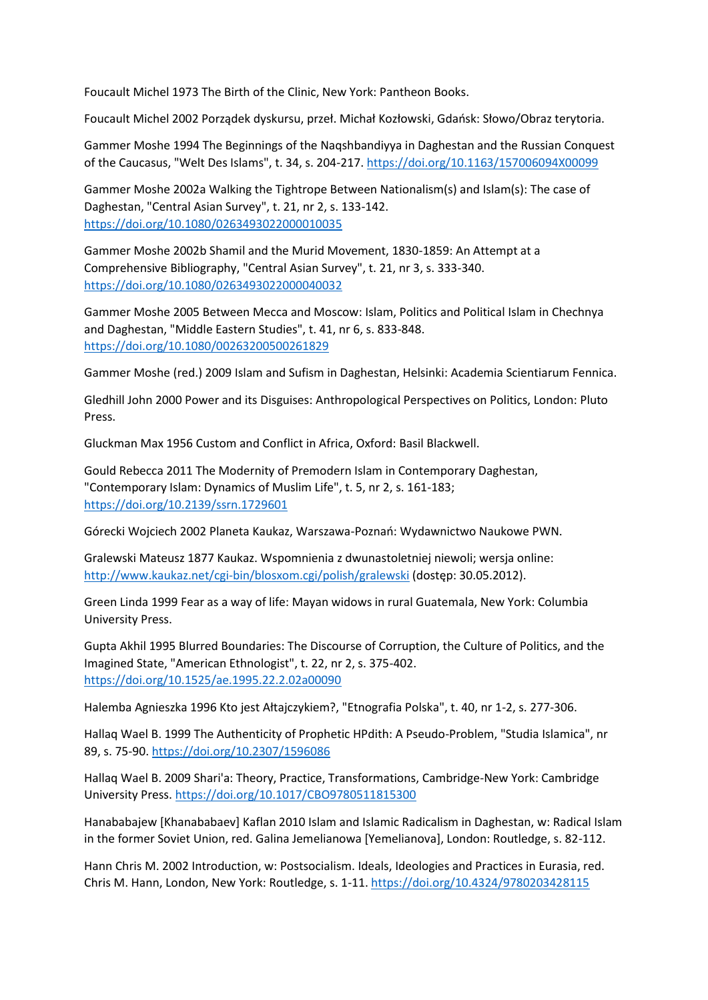Foucault Michel 1973 The Birth of the Clinic, New York: Pantheon Books.

Foucault Michel 2002 Porządek dyskursu, przeł. Michał Kozłowski, Gdańsk: Słowo/Obraz terytoria.

Gammer Moshe 1994 The Beginnings of the Naqshbandiyya in Daghestan and the Russian Conquest of the Caucasus, "Welt Des Islams", t. 34, s. 204-217[. https://doi.org/10.1163/157006094X00099](https://doi.org/10.1163/157006094X00099)

Gammer Moshe 2002a Walking the Tightrope Between Nationalism(s) and Islam(s): The case of Daghestan, "Central Asian Survey", t. 21, nr 2, s. 133-142. <https://doi.org/10.1080/0263493022000010035>

Gammer Moshe 2002b Shamil and the Murid Movement, 1830-1859: An Attempt at a Comprehensive Bibliography, "Central Asian Survey", t. 21, nr 3, s. 333-340. <https://doi.org/10.1080/0263493022000040032>

Gammer Moshe 2005 Between Mecca and Moscow: Islam, Politics and Political Islam in Chechnya and Daghestan, "Middle Eastern Studies", t. 41, nr 6, s. 833-848. <https://doi.org/10.1080/00263200500261829>

Gammer Moshe (red.) 2009 Islam and Sufism in Daghestan, Helsinki: Academia Scientiarum Fennica.

Gledhill John 2000 Power and its Disguises: Anthropological Perspectives on Politics, London: Pluto Press.

Gluckman Max 1956 Custom and Conflict in Africa, Oxford: Basil Blackwell.

Gould Rebecca 2011 The Modernity of Premodern Islam in Contemporary Daghestan, "Contemporary Islam: Dynamics of Muslim Life", t. 5, nr 2, s. 161-183; <https://doi.org/10.2139/ssrn.1729601>

Górecki Wojciech 2002 Planeta Kaukaz, Warszawa-Poznań: Wydawnictwo Naukowe PWN.

Gralewski Mateusz 1877 Kaukaz. Wspomnienia z dwunastoletniej niewoli; wersja online: <http://www.kaukaz.net/cgi-bin/blosxom.cgi/polish/gralewski> (dostęp: 30.05.2012).

Green Linda 1999 Fear as a way of life: Mayan widows in rural Guatemala, New York: Columbia University Press.

Gupta Akhil 1995 Blurred Boundaries: The Discourse of Corruption, the Culture of Politics, and the Imagined State, "American Ethnologist", t. 22, nr 2, s. 375-402. <https://doi.org/10.1525/ae.1995.22.2.02a00090>

Halemba Agnieszka 1996 Kto jest Ałtajczykiem?, "Etnografia Polska", t. 40, nr 1-2, s. 277-306.

Hallaq Wael B. 1999 The Authenticity of Prophetic HPdith: A Pseudo-Problem, "Studia Islamica", nr 89, s. 75-90[. https://doi.org/10.2307/1596086](https://doi.org/10.2307/1596086)

Hallaq Wael B. 2009 Shari'a: Theory, Practice, Transformations, Cambridge-New York: Cambridge University Press.<https://doi.org/10.1017/CBO9780511815300>

Hanababajew [Khanababaev] Kaflan 2010 Islam and Islamic Radicalism in Daghestan, w: Radical Islam in the former Soviet Union, red. Galina Jemelianowa [Yemelianova], London: Routledge, s. 82-112.

Hann Chris M. 2002 Introduction, w: Postsocialism. Ideals, Ideologies and Practices in Eurasia, red. Chris M. Hann, London, New York: Routledge, s. 1-11.<https://doi.org/10.4324/9780203428115>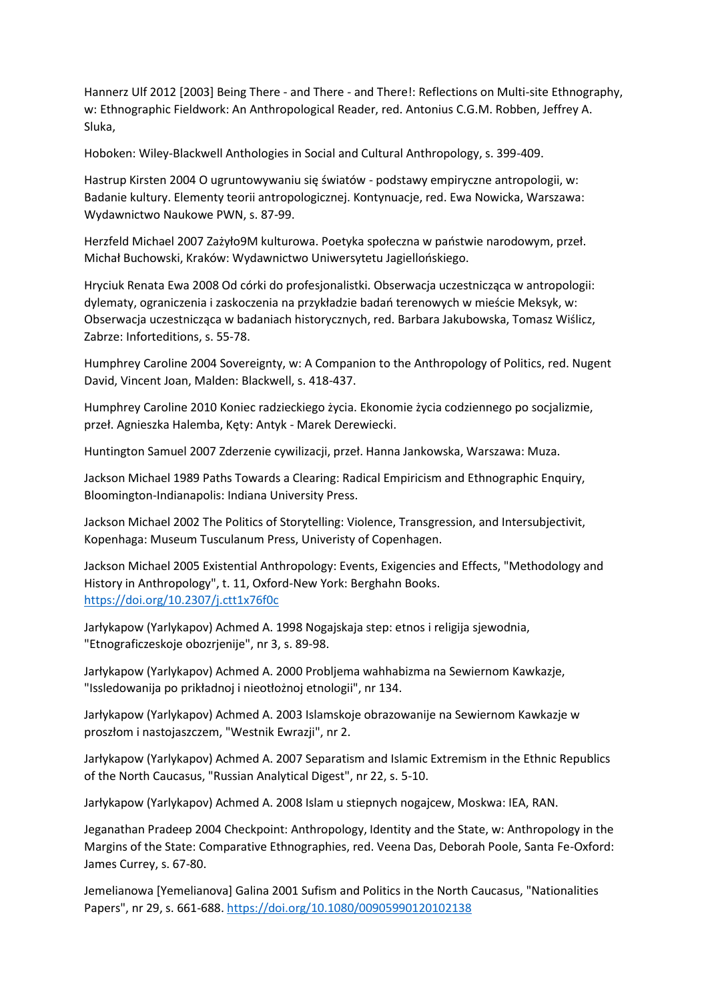Hannerz Ulf 2012 [2003] Being There - and There - and There!: Reflections on Multi-site Ethnography, w: Ethnographic Fieldwork: An Anthropological Reader, red. Antonius C.G.M. Robben, Jeffrey A. Sluka,

Hoboken: Wiley-Blackwell Anthologies in Social and Cultural Anthropology, s. 399-409.

Hastrup Kirsten 2004 O ugruntowywaniu się światów - podstawy empiryczne antropologii, w: Badanie kultury. Elementy teorii antropologicznej. Kontynuacje, red. Ewa Nowicka, Warszawa: Wydawnictwo Naukowe PWN, s. 87-99.

Herzfeld Michael 2007 Zażyło9M kulturowa. Poetyka społeczna w państwie narodowym, przeł. Michał Buchowski, Kraków: Wydawnictwo Uniwersytetu Jagiellońskiego.

Hryciuk Renata Ewa 2008 Od córki do profesjonalistki. Obserwacja uczestnicząca w antropologii: dylematy, ograniczenia i zaskoczenia na przykładzie badań terenowych w mieście Meksyk, w: Obserwacja uczestnicząca w badaniach historycznych, red. Barbara Jakubowska, Tomasz Wiślicz, Zabrze: Inforteditions, s. 55-78.

Humphrey Caroline 2004 Sovereignty, w: A Companion to the Anthropology of Politics, red. Nugent David, Vincent Joan, Malden: Blackwell, s. 418-437.

Humphrey Caroline 2010 Koniec radzieckiego życia. Ekonomie życia codziennego po socjalizmie, przeł. Agnieszka Halemba, Kęty: Antyk - Marek Derewiecki.

Huntington Samuel 2007 Zderzenie cywilizacji, przeł. Hanna Jankowska, Warszawa: Muza.

Jackson Michael 1989 Paths Towards a Clearing: Radical Empiricism and Ethnographic Enquiry, Bloomington-Indianapolis: Indiana University Press.

Jackson Michael 2002 The Politics of Storytelling: Violence, Transgression, and Intersubjectivit, Kopenhaga: Museum Tusculanum Press, Univeristy of Copenhagen.

Jackson Michael 2005 Existential Anthropology: Events, Exigencies and Effects, "Methodology and History in Anthropology", t. 11, Oxford-New York: Berghahn Books. <https://doi.org/10.2307/j.ctt1x76f0c>

Jarłykapow (Yarlykapov) Achmed A. 1998 Nogajskaja step: etnos i religija sjewodnia, "Etnograficzeskoje obozrjenije", nr 3, s. 89-98.

Jarłykapow (Yarlykapov) Achmed A. 2000 Probljema wahhabizma na Sewiernom Kawkazje, "Issledowanija po prikładnoj i nieotłożnoj etnologii", nr 134.

Jarłykapow (Yarlykapov) Achmed A. 2003 Islamskoje obrazowanije na Sewiernom Kawkazje w proszłom i nastojaszczem, "Westnik Ewrazji", nr 2.

Jarłykapow (Yarlykapov) Achmed A. 2007 Separatism and Islamic Extremism in the Ethnic Republics of the North Caucasus, "Russian Analytical Digest", nr 22, s. 5-10.

Jarłykapow (Yarlykapov) Achmed A. 2008 Islam u stiepnych nogajcew, Moskwa: IEA, RAN.

Jeganathan Pradeep 2004 Checkpoint: Anthropology, Identity and the State, w: Anthropology in the Margins of the State: Comparative Ethnographies, red. Veena Das, Deborah Poole, Santa Fe-Oxford: James Currey, s. 67-80.

Jemelianowa [Yemelianova] Galina 2001 Sufism and Politics in the North Caucasus, "Nationalities Papers", nr 29, s. 661-688.<https://doi.org/10.1080/00905990120102138>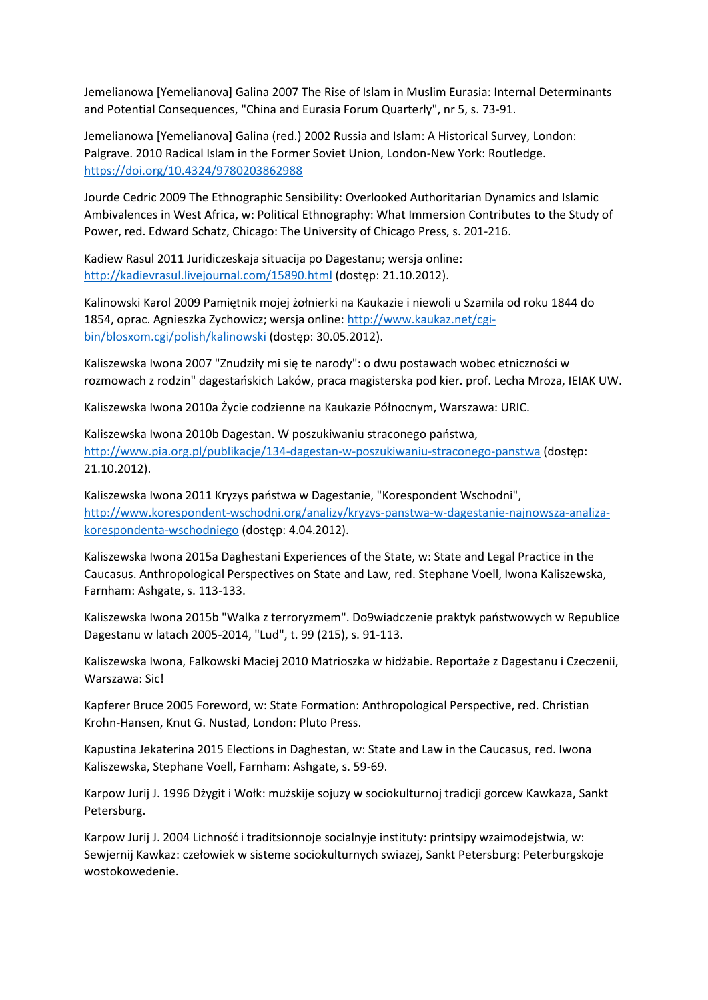Jemelianowa [Yemelianova] Galina 2007 The Rise of Islam in Muslim Eurasia: Internal Determinants and Potential Consequences, "China and Eurasia Forum Quarterly", nr 5, s. 73-91.

Jemelianowa [Yemelianova] Galina (red.) 2002 Russia and Islam: A Historical Survey, London: Palgrave. 2010 Radical Islam in the Former Soviet Union, London-New York: Routledge. <https://doi.org/10.4324/9780203862988>

Jourde Cedric 2009 The Ethnographic Sensibility: Overlooked Authoritarian Dynamics and Islamic Ambivalences in West Africa, w: Political Ethnography: What Immersion Contributes to the Study of Power, red. Edward Schatz, Chicago: The University of Chicago Press, s. 201-216.

Kadiew Rasul 2011 Juridiczeskaja situacija po Dagestanu; wersja online: <http://kadievrasul.livejournal.com/15890.html> (dostęp: 21.10.2012).

Kalinowski Karol 2009 Pamiętnik mojej żołnierki na Kaukazie i niewoli u Szamila od roku 1844 do 1854, oprac. Agnieszka Zychowicz; wersja online: [http://www.kaukaz.net/cgi](http://www.kaukaz.net/cgi-bin/blosxom.cgi/polish/kalinowski)[bin/blosxom.cgi/polish/kalinowski](http://www.kaukaz.net/cgi-bin/blosxom.cgi/polish/kalinowski) (dostęp: 30.05.2012).

Kaliszewska Iwona 2007 "Znudziły mi się te narody": o dwu postawach wobec etniczności w rozmowach z rodzin" dagestańskich Laków, praca magisterska pod kier. prof. Lecha Mroza, IEIAK UW.

Kaliszewska Iwona 2010a Życie codzienne na Kaukazie Północnym, Warszawa: URIC.

Kaliszewska Iwona 2010b Dagestan. W poszukiwaniu straconego państwa, <http://www.pia.org.pl/publikacje/134-dagestan-w-poszukiwaniu-straconego-panstwa> (dostęp: 21.10.2012).

Kaliszewska Iwona 2011 Kryzys państwa w Dagestanie, "Korespondent Wschodni", [http://www.korespondent-wschodni.org/analizy/kryzys-panstwa-w-dagestanie-najnowsza-analiza](http://www.korespondent-wschodni.org/analizy/kryzys-panstwa-w-dagestanie-najnowsza-analiza-korespondenta-wschodniego)[korespondenta-wschodniego](http://www.korespondent-wschodni.org/analizy/kryzys-panstwa-w-dagestanie-najnowsza-analiza-korespondenta-wschodniego) (dostęp: 4.04.2012).

Kaliszewska Iwona 2015a Daghestani Experiences of the State, w: State and Legal Practice in the Caucasus. Anthropological Perspectives on State and Law, red. Stephane Voell, Iwona Kaliszewska, Farnham: Ashgate, s. 113-133.

Kaliszewska Iwona 2015b "Walka z terroryzmem". Do9wiadczenie praktyk państwowych w Republice Dagestanu w latach 2005-2014, "Lud", t. 99 (215), s. 91-113.

Kaliszewska Iwona, Falkowski Maciej 2010 Matrioszka w hidżabie. Reportaże z Dagestanu i Czeczenii, Warszawa: Sic!

Kapferer Bruce 2005 Foreword, w: State Formation: Anthropological Perspective, red. Christian Krohn-Hansen, Knut G. Nustad, London: Pluto Press.

Kapustina Jekaterina 2015 Elections in Daghestan, w: State and Law in the Caucasus, red. Iwona Kaliszewska, Stephane Voell, Farnham: Ashgate, s. 59-69.

Karpow Jurij J. 1996 Dżygit i Wołk: mużskije sojuzy w sociokulturnoj tradicji gorcew Kawkaza, Sankt Petersburg.

Karpow Jurij J. 2004 Lichność i traditsionnoje socialnyje instituty: printsipy wzaimodejstwia, w: Sewjernij Kawkaz: czełowiek w sisteme sociokulturnych swiazej, Sankt Petersburg: Peterburgskoje wostokowedenie.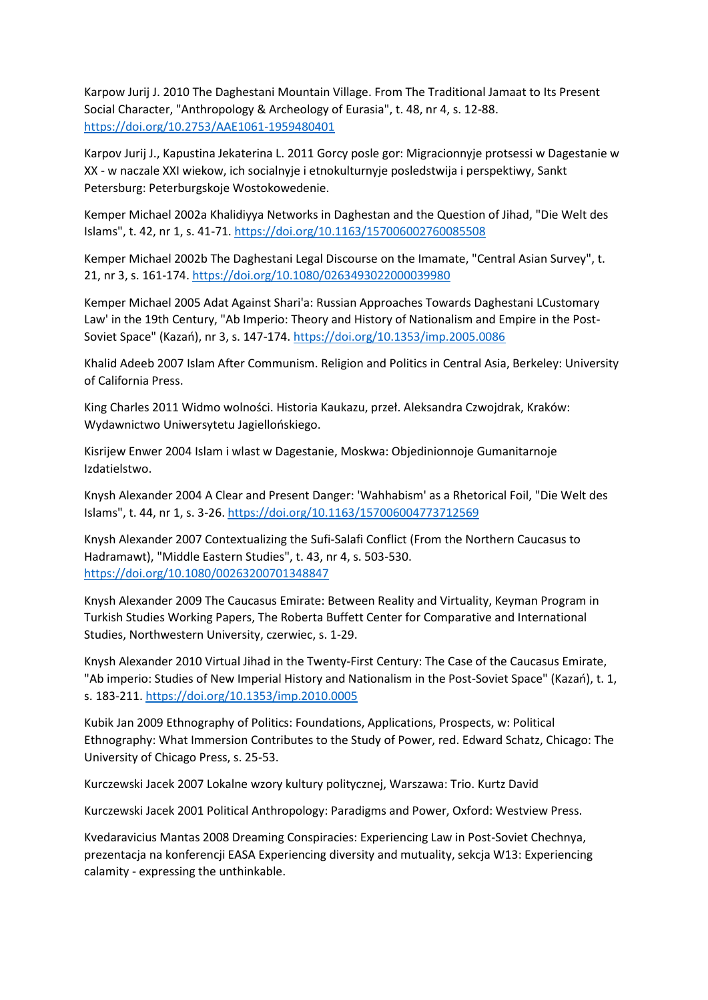Karpow Jurij J. 2010 The Daghestani Mountain Village. From The Traditional Jamaat to Its Present Social Character, "Anthropology & Archeology of Eurasia", t. 48, nr 4, s. 12-88. <https://doi.org/10.2753/AAE1061-1959480401>

Karpov Jurij J., Kapustina Jekaterina L. 2011 Gorcy posle gor: Migracionnyje protsessi w Dagestanie w XX - w naczale XXI wiekow, ich socialnyje i etnokulturnyje posledstwija i perspektiwy, Sankt Petersburg: Peterburgskoje Wostokowedenie.

Kemper Michael 2002a Khalidiyya Networks in Daghestan and the Question of Jihad, "Die Welt des Islams", t. 42, nr 1, s. 41-71.<https://doi.org/10.1163/157006002760085508>

Kemper Michael 2002b The Daghestani Legal Discourse on the Imamate, "Central Asian Survey", t. 21, nr 3, s. 161-174.<https://doi.org/10.1080/0263493022000039980>

Kemper Michael 2005 Adat Against Shari'a: Russian Approaches Towards Daghestani LCustomary Law' in the 19th Century, "Ab Imperio: Theory and History of Nationalism and Empire in the Post-Soviet Space" (Kazań), nr 3, s. 147-174.<https://doi.org/10.1353/imp.2005.0086>

Khalid Adeeb 2007 Islam After Communism. Religion and Politics in Central Asia, Berkeley: University of California Press.

King Charles 2011 Widmo wolności. Historia Kaukazu, przeł. Aleksandra Czwojdrak, Kraków: Wydawnictwo Uniwersytetu Jagiellońskiego.

Kisrijew Enwer 2004 Islam i wlast w Dagestanie, Moskwa: Objedinionnoje Gumanitarnoje Izdatielstwo.

Knysh Alexander 2004 A Clear and Present Danger: 'Wahhabism' as a Rhetorical Foil, "Die Welt des Islams", t. 44, nr 1, s. 3-26[. https://doi.org/10.1163/157006004773712569](https://doi.org/10.1163/157006004773712569)

Knysh Alexander 2007 Contextualizing the Sufi-Salafi Conflict (From the Northern Caucasus to Hadramawt), "Middle Eastern Studies", t. 43, nr 4, s. 503-530. <https://doi.org/10.1080/00263200701348847>

Knysh Alexander 2009 The Caucasus Emirate: Between Reality and Virtuality, Keyman Program in Turkish Studies Working Papers, The Roberta Buffett Center for Comparative and International Studies, Northwestern University, czerwiec, s. 1-29.

Knysh Alexander 2010 Virtual Jihad in the Twenty-First Century: The Case of the Caucasus Emirate, "Ab imperio: Studies of New Imperial History and Nationalism in the Post-Soviet Space" (Kazań), t. 1, s. 183-211[. https://doi.org/10.1353/imp.2010.0005](https://doi.org/10.1353/imp.2010.0005)

Kubik Jan 2009 Ethnography of Politics: Foundations, Applications, Prospects, w: Political Ethnography: What Immersion Contributes to the Study of Power, red. Edward Schatz, Chicago: The University of Chicago Press, s. 25-53.

Kurczewski Jacek 2007 Lokalne wzory kultury politycznej, Warszawa: Trio. Kurtz David

Kurczewski Jacek 2001 Political Anthropology: Paradigms and Power, Oxford: Westview Press.

Kvedaravicius Mantas 2008 Dreaming Conspiracies: Experiencing Law in Post-Soviet Chechnya, prezentacja na konferencji EASA Experiencing diversity and mutuality, sekcja W13: Experiencing calamity - expressing the unthinkable.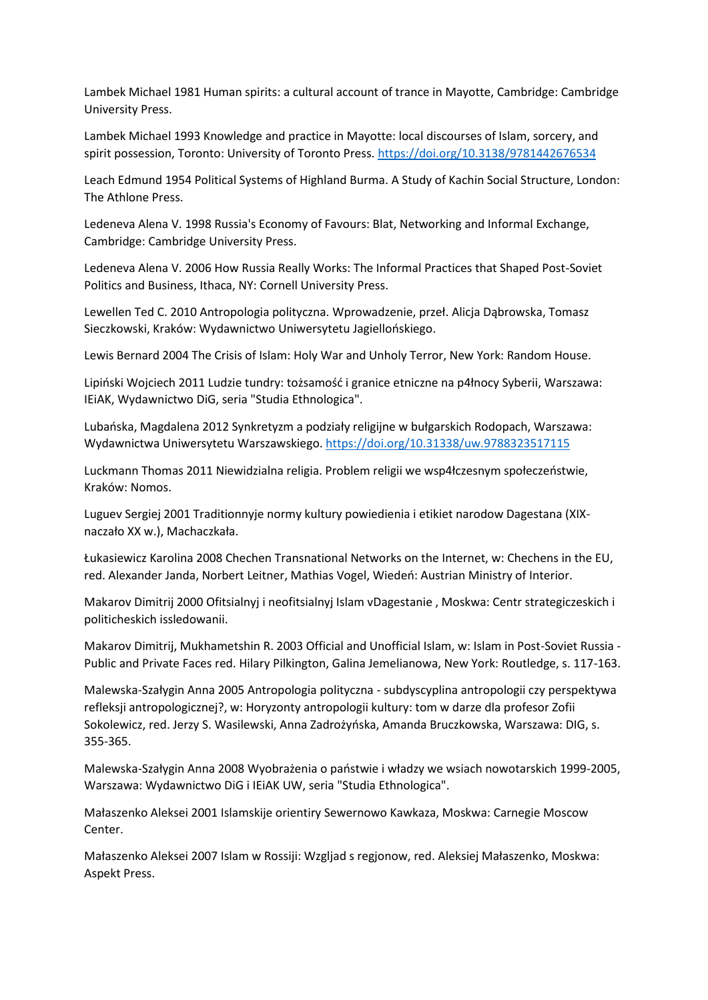Lambek Michael 1981 Human spirits: a cultural account of trance in Mayotte, Cambridge: Cambridge University Press.

Lambek Michael 1993 Knowledge and practice in Mayotte: local discourses of Islam, sorcery, and spirit possession, Toronto: University of Toronto Press[. https://doi.org/10.3138/9781442676534](https://doi.org/10.3138/9781442676534)

Leach Edmund 1954 Political Systems of Highland Burma. A Study of Kachin Social Structure, London: The Athlone Press.

Ledeneva Alena V. 1998 Russia's Economy of Favours: Blat, Networking and Informal Exchange, Cambridge: Cambridge University Press.

Ledeneva Alena V. 2006 How Russia Really Works: The Informal Practices that Shaped Post-Soviet Politics and Business, Ithaca, NY: Cornell University Press.

Lewellen Ted C. 2010 Antropologia polityczna. Wprowadzenie, przeł. Alicja Dąbrowska, Tomasz Sieczkowski, Kraków: Wydawnictwo Uniwersytetu Jagiellońskiego.

Lewis Bernard 2004 The Crisis of Islam: Holy War and Unholy Terror, New York: Random House.

Lipiński Wojciech 2011 Ludzie tundry: tożsamość i granice etniczne na p4łnocy Syberii, Warszawa: IEiAK, Wydawnictwo DiG, seria "Studia Ethnologica".

Lubańska, Magdalena 2012 Synkretyzm a podziały religijne w bułgarskich Rodopach, Warszawa: Wydawnictwa Uniwersytetu Warszawskiego.<https://doi.org/10.31338/uw.9788323517115>

Luckmann Thomas 2011 Niewidzialna religia. Problem religii we wsp4łczesnym społeczeństwie, Kraków: Nomos.

Luguev Sergiej 2001 Traditionnyje normy kultury powiedienia i etikiet narodow Dagestana (XIXnaczało XX w.), Machaczkała.

Łukasiewicz Karolina 2008 Chechen Transnational Networks on the Internet, w: Chechens in the EU, red. Alexander Janda, Norbert Leitner, Mathias Vogel, Wiedeń: Austrian Ministry of Interior.

Makarov Dimitrij 2000 Ofitsialnyj i neofitsialnyj Islam vDagestanie , Moskwa: Centr strategiczeskich i politicheskich issledowanii.

Makarov Dimitrij, Mukhametshin R. 2003 Official and Unofficial Islam, w: Islam in Post-Soviet Russia - Public and Private Faces red. Hilary Pilkington, Galina Jemelianowa, New York: Routledge, s. 117-163.

Malewska-Szałygin Anna 2005 Antropologia polityczna - subdyscyplina antropologii czy perspektywa refleksji antropologicznej?, w: Horyzonty antropologii kultury: tom w darze dla profesor Zofii Sokolewicz, red. Jerzy S. Wasilewski, Anna Zadrożyńska, Amanda Bruczkowska, Warszawa: DIG, s. 355-365.

Malewska-Szałygin Anna 2008 Wyobrażenia o państwie i władzy we wsiach nowotarskich 1999-2005, Warszawa: Wydawnictwo DiG i IEiAK UW, seria "Studia Ethnologica".

Małaszenko Aleksei 2001 Islamskije orientiry Sewernowo Kawkaza, Moskwa: Carnegie Moscow Center.

Małaszenko Aleksei 2007 Islam w Rossiji: Wzgljad s regjonow, red. Aleksiej Małaszenko, Moskwa: Aspekt Press.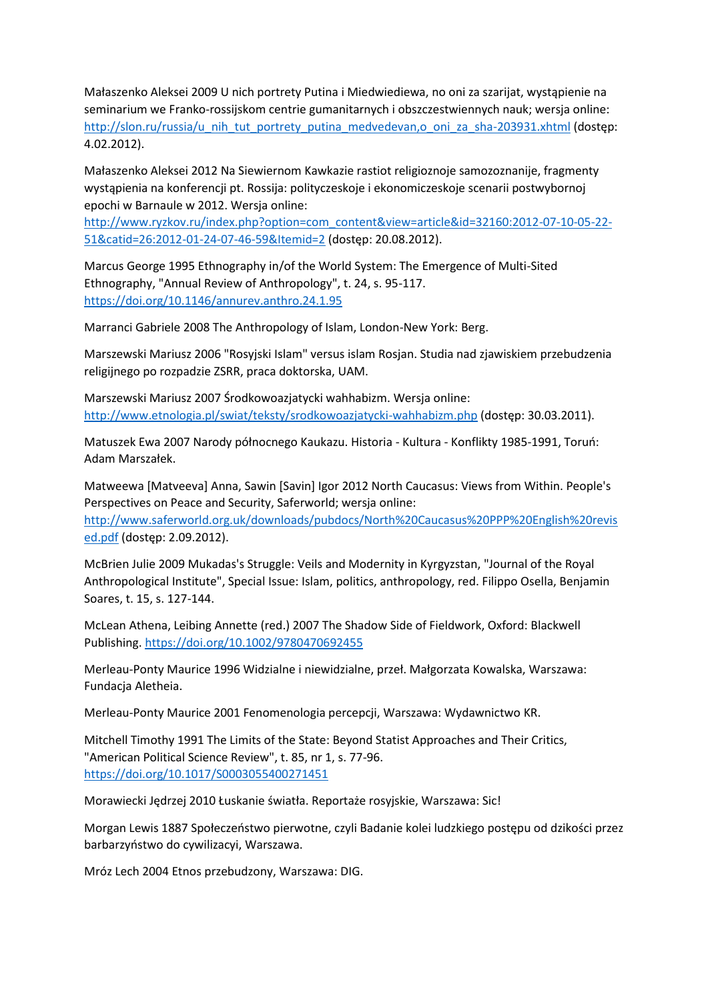Małaszenko Aleksei 2009 U nich portrety Putina i Miedwiediewa, no oni za szarijat, wystąpienie na seminarium we Franko-rossijskom centrie gumanitarnych i obszczestwiennych nauk; wersja online: [http://slon.ru/russia/u\\_nih\\_tut\\_portrety\\_putina\\_medvedevan,o\\_oni\\_za\\_sha-203931.xhtml](http://slon.ru/russia/u_nih_tut_portrety_putina_medvedevan,o_oni_za_sha-203931.xhtml) (dostęp: 4.02.2012).

Małaszenko Aleksei 2012 Na Siewiernom Kawkazie rastiot religioznoje samozoznanije, fragmenty wystąpienia na konferencji pt. Rossija: polityczeskoje i ekonomiczeskoje scenarii postwybornoj epochi w Barnaule w 2012. Wersja online:

[http://www.ryzkov.ru/index.php?option=com\\_content&view=article&id=32160:2012-07-10-05-22-](http://www.ryzkov.ru/index.php?option=com_content&view=article&id=32160:2012-07-10-05-22-51&catid=26:2012-01-24-07-46-59&Itemid=2) [51&catid=26:2012-01-24-07-46-59&Itemid=2](http://www.ryzkov.ru/index.php?option=com_content&view=article&id=32160:2012-07-10-05-22-51&catid=26:2012-01-24-07-46-59&Itemid=2) (dostęp: 20.08.2012).

Marcus George 1995 Ethnography in/of the World System: The Emergence of Multi-Sited Ethnography, "Annual Review of Anthropology", t. 24, s. 95-117. <https://doi.org/10.1146/annurev.anthro.24.1.95>

Marranci Gabriele 2008 The Anthropology of Islam, London-New York: Berg.

Marszewski Mariusz 2006 "Rosyjski Islam" versus islam Rosjan. Studia nad zjawiskiem przebudzenia religijnego po rozpadzie ZSRR, praca doktorska, UAM.

Marszewski Mariusz 2007 Środkowoazjatycki wahhabizm. Wersja online: <http://www.etnologia.pl/swiat/teksty/srodkowoazjatycki-wahhabizm.php> (dostęp: 30.03.2011).

Matuszek Ewa 2007 Narody północnego Kaukazu. Historia - Kultura - Konflikty 1985-1991, Toruń: Adam Marszałek.

Matweewa [Matveeva] Anna, Sawin [Savin] Igor 2012 North Caucasus: Views from Within. People's Perspectives on Peace and Security, Saferworld; wersja online:

[http://www.saferworld.org.uk/downloads/pubdocs/North%20Caucasus%20PPP%20English%20revis](http://www.saferworld.org.uk/downloads/pubdocs/North%20Caucasus%20PPP%20English%20revised.pdf) [ed.pdf](http://www.saferworld.org.uk/downloads/pubdocs/North%20Caucasus%20PPP%20English%20revised.pdf) (dostęp: 2.09.2012).

McBrien Julie 2009 Mukadas's Struggle: Veils and Modernity in Kyrgyzstan, "Journal of the Royal Anthropological Institute", Special Issue: Islam, politics, anthropology, red. Filippo Osella, Benjamin Soares, t. 15, s. 127-144.

McLean Athena, Leibing Annette (red.) 2007 The Shadow Side of Fieldwork, Oxford: Blackwell Publishing.<https://doi.org/10.1002/9780470692455>

Merleau-Ponty Maurice 1996 Widzialne i niewidzialne, przeł. Małgorzata Kowalska, Warszawa: Fundacja Aletheia.

Merleau-Ponty Maurice 2001 Fenomenologia percepcji, Warszawa: Wydawnictwo KR.

Mitchell Timothy 1991 The Limits of the State: Beyond Statist Approaches and Their Critics, "American Political Science Review", t. 85, nr 1, s. 77-96. <https://doi.org/10.1017/S0003055400271451>

Morawiecki Jędrzej 2010 Łuskanie światła. Reportaże rosyjskie, Warszawa: Sic!

Morgan Lewis 1887 Społeczeństwo pierwotne, czyli Badanie kolei ludzkiego postępu od dzikości przez barbarzyństwo do cywilizacyi, Warszawa.

Mróz Lech 2004 Etnos przebudzony, Warszawa: DIG.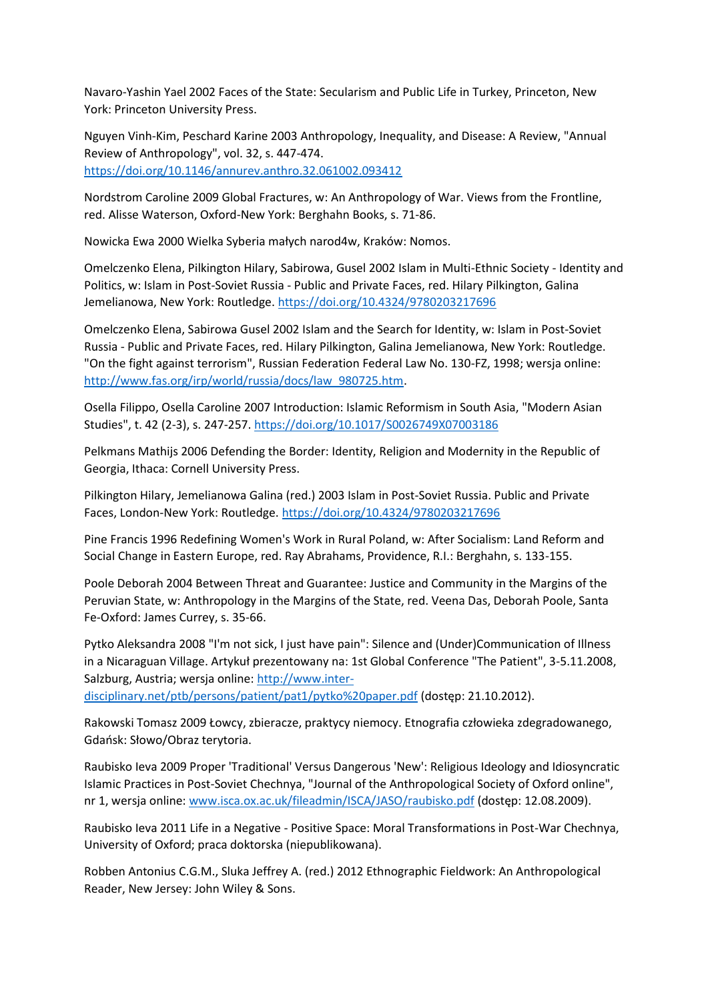Navaro-Yashin Yael 2002 Faces of the State: Secularism and Public Life in Turkey, Princeton, New York: Princeton University Press.

Nguyen Vinh-Kim, Peschard Karine 2003 Anthropology, Inequality, and Disease: A Review, "Annual Review of Anthropology", vol. 32, s. 447-474. <https://doi.org/10.1146/annurev.anthro.32.061002.093412>

Nordstrom Caroline 2009 Global Fractures, w: An Anthropology of War. Views from the Frontline, red. Alisse Waterson, Oxford-New York: Berghahn Books, s. 71-86.

Nowicka Ewa 2000 Wielka Syberia małych narod4w, Kraków: Nomos.

Omelczenko Elena, Pilkington Hilary, Sabirowa, Gusel 2002 Islam in Multi-Ethnic Society - Identity and Politics, w: Islam in Post-Soviet Russia - Public and Private Faces, red. Hilary Pilkington, Galina Jemelianowa, New York: Routledge[. https://doi.org/10.4324/9780203217696](https://doi.org/10.4324/9780203217696)

Omelczenko Elena, Sabirowa Gusel 2002 Islam and the Search for Identity, w: Islam in Post-Soviet Russia - Public and Private Faces, red. Hilary Pilkington, Galina Jemelianowa, New York: Routledge. "On the fight against terrorism", Russian Federation Federal Law No. 130-FZ, 1998; wersja online: [http://www.fas.org/irp/world/russia/docs/law\\_980725.htm.](http://www.fas.org/irp/world/russia/docs/law_980725.htm)

Osella Filippo, Osella Caroline 2007 Introduction: Islamic Reformism in South Asia, "Modern Asian Studies", t. 42 (2-3), s. 247-257[. https://doi.org/10.1017/S0026749X07003186](https://doi.org/10.1017/S0026749X07003186)

Pelkmans Mathijs 2006 Defending the Border: Identity, Religion and Modernity in the Republic of Georgia, Ithaca: Cornell University Press.

Pilkington Hilary, Jemelianowa Galina (red.) 2003 Islam in Post-Soviet Russia. Public and Private Faces, London-New York: Routledge.<https://doi.org/10.4324/9780203217696>

Pine Francis 1996 Redefining Women's Work in Rural Poland, w: After Socialism: Land Reform and Social Change in Eastern Europe, red. Ray Abrahams, Providence, R.I.: Berghahn, s. 133-155.

Poole Deborah 2004 Between Threat and Guarantee: Justice and Community in the Margins of the Peruvian State, w: Anthropology in the Margins of the State, red. Veena Das, Deborah Poole, Santa Fe-Oxford: James Currey, s. 35-66.

Pytko Aleksandra 2008 "I'm not sick, I just have pain": Silence and (Under)Communication of Illness in a Nicaraguan Village. Artykuł prezentowany na: 1st Global Conference "The Patient", 3-5.11.2008, Salzburg, Austria; wersja online: [http://www.inter-](http://www.inter-disciplinary.net/ptb/persons/patient/pat1/pytko%20paper.pdf)

[disciplinary.net/ptb/persons/patient/pat1/pytko%20paper.pdf](http://www.inter-disciplinary.net/ptb/persons/patient/pat1/pytko%20paper.pdf) (dostęp: 21.10.2012).

Rakowski Tomasz 2009 Łowcy, zbieracze, praktycy niemocy. Etnografia człowieka zdegradowanego, Gdańsk: Słowo/Obraz terytoria.

Raubisko Ieva 2009 Proper 'Traditional' Versus Dangerous 'New': Religious Ideology and Idiosyncratic Islamic Practices in Post-Soviet Chechnya, "Journal of the Anthropological Society of Oxford online", nr 1, wersja online: [www.isca.ox.ac.uk/fileadmin/ISCA/JASO/raubisko.pdf](http://www.isca.ox.ac.uk/fileadmin/ISCA/JASO/raubisko.pdf) (dostęp: 12.08.2009).

Raubisko Ieva 2011 Life in a Negative - Positive Space: Moral Transformations in Post-War Chechnya, University of Oxford; praca doktorska (niepublikowana).

Robben Antonius C.G.M., Sluka Jeffrey A. (red.) 2012 Ethnographic Fieldwork: An Anthropological Reader, New Jersey: John Wiley & Sons.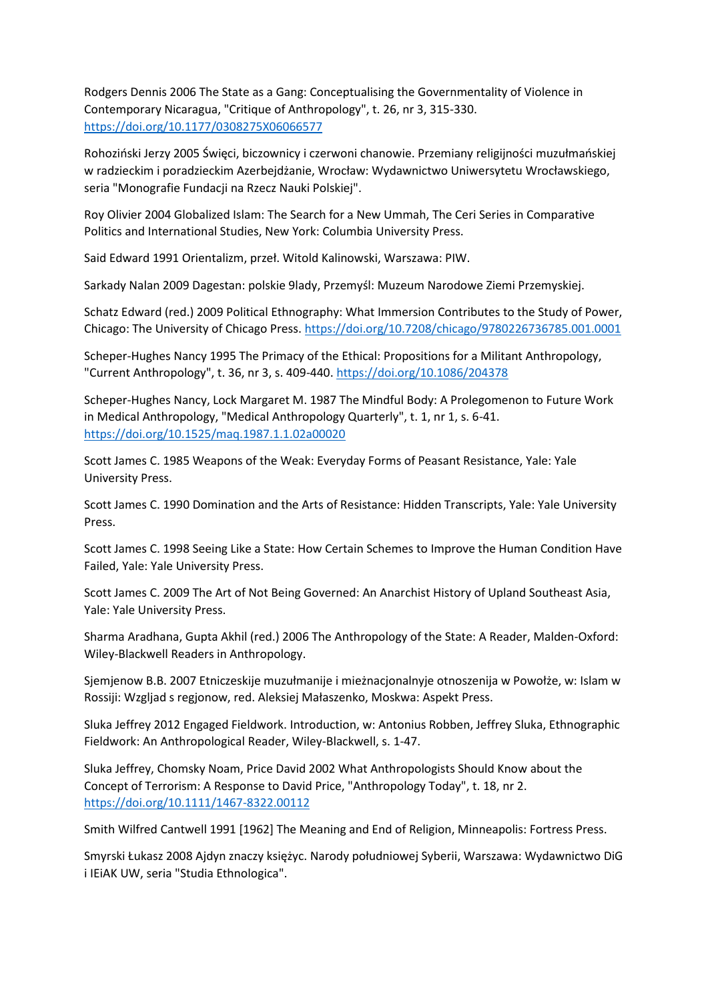Rodgers Dennis 2006 The State as a Gang: Conceptualising the Governmentality of Violence in Contemporary Nicaragua, "Critique of Anthropology", t. 26, nr 3, 315-330. <https://doi.org/10.1177/0308275X06066577>

Rohoziński Jerzy 2005 Święci, biczownicy i czerwoni chanowie. Przemiany religijności muzułmańskiej w radzieckim i poradzieckim Azerbejdżanie, Wrocław: Wydawnictwo Uniwersytetu Wrocławskiego, seria "Monografie Fundacji na Rzecz Nauki Polskiej".

Roy Olivier 2004 Globalized Islam: The Search for a New Ummah, The Ceri Series in Comparative Politics and International Studies, New York: Columbia University Press.

Said Edward 1991 Orientalizm, przeł. Witold Kalinowski, Warszawa: PIW.

Sarkady Nalan 2009 Dagestan: polskie 9lady, Przemyśl: Muzeum Narodowe Ziemi Przemyskiej.

Schatz Edward (red.) 2009 Political Ethnography: What Immersion Contributes to the Study of Power, Chicago: The University of Chicago Press.<https://doi.org/10.7208/chicago/9780226736785.001.0001>

Scheper-Hughes Nancy 1995 The Primacy of the Ethical: Propositions for a Militant Anthropology, "Current Anthropology", t. 36, nr 3, s. 409-440.<https://doi.org/10.1086/204378>

Scheper-Hughes Nancy, Lock Margaret M. 1987 The Mindful Body: A Prolegomenon to Future Work in Medical Anthropology, "Medical Anthropology Quarterly", t. 1, nr 1, s. 6-41. <https://doi.org/10.1525/maq.1987.1.1.02a00020>

Scott James C. 1985 Weapons of the Weak: Everyday Forms of Peasant Resistance, Yale: Yale University Press.

Scott James C. 1990 Domination and the Arts of Resistance: Hidden Transcripts, Yale: Yale University Press.

Scott James C. 1998 Seeing Like a State: How Certain Schemes to Improve the Human Condition Have Failed, Yale: Yale University Press.

Scott James C. 2009 The Art of Not Being Governed: An Anarchist History of Upland Southeast Asia, Yale: Yale University Press.

Sharma Aradhana, Gupta Akhil (red.) 2006 The Anthropology of the State: A Reader, Malden-Oxford: Wiley-Blackwell Readers in Anthropology.

Sjemjenow B.B. 2007 Etniczeskije muzułmanije i mieżnacjonalnyje otnoszenija w Powołże, w: Islam w Rossiji: Wzgljad s regjonow, red. Aleksiej Małaszenko, Moskwa: Aspekt Press.

Sluka Jeffrey 2012 Engaged Fieldwork. Introduction, w: Antonius Robben, Jeffrey Sluka, Ethnographic Fieldwork: An Anthropological Reader, Wiley-Blackwell, s. 1-47.

Sluka Jeffrey, Chomsky Noam, Price David 2002 What Anthropologists Should Know about the Concept of Terrorism: A Response to David Price, "Anthropology Today", t. 18, nr 2. <https://doi.org/10.1111/1467-8322.00112>

Smith Wilfred Cantwell 1991 [1962] The Meaning and End of Religion, Minneapolis: Fortress Press.

Smyrski Łukasz 2008 Ajdyn znaczy księżyc. Narody południowej Syberii, Warszawa: Wydawnictwo DiG i IEiAK UW, seria "Studia Ethnologica".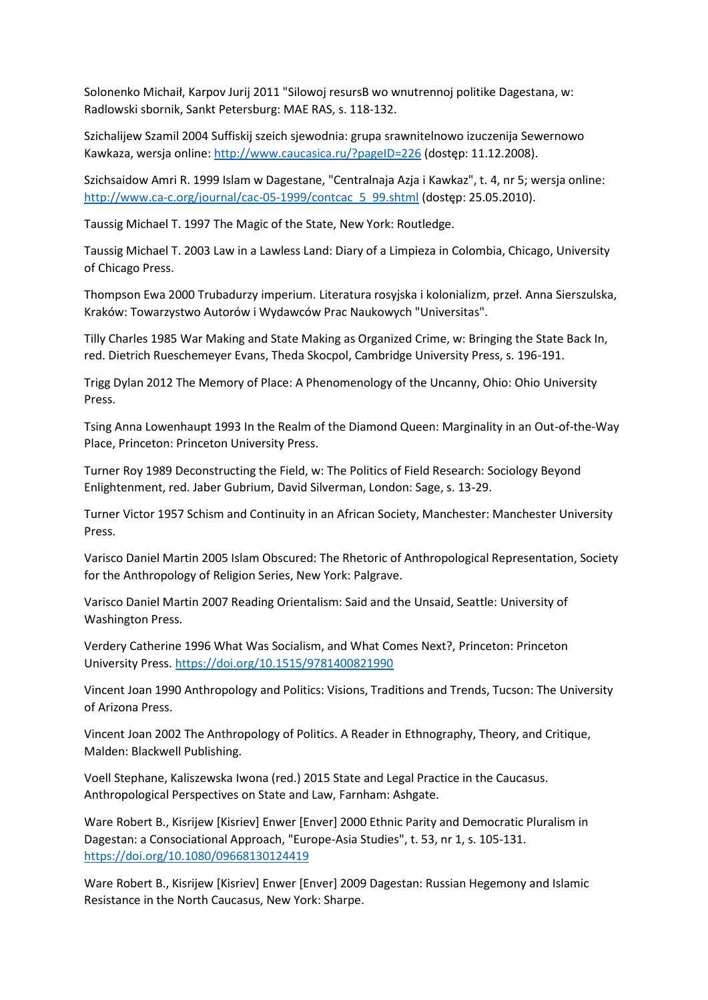Solonenko Michaił, Karpov Jurij 2011 "Silowoj resursB wo wnutrennoj politike Dagestana, w: Radlowski sbornik, Sankt Petersburg: MAE RAS, s. 118-132.

Szichalijew Szamil 2004 Suffiskij szeich sjewodnia: grupa srawnitelnowo izuczenija Sewernowo Kawkaza, wersja online:<http://www.caucasica.ru/?pageID=226> (dostęp: 11.12.2008).

Szichsaidow Amri R. 1999 Islam w Dagestane, "Centralnaja Azja i Kawkaz", t. 4, nr 5; wersja online: [http://www.ca-c.org/journal/cac-05-1999/contcac\\_5\\_99.shtml](http://www.ca-c.org/journal/cac-05-1999/contcac_5_99.shtml) (dostęp: 25.05.2010).

Taussig Michael T. 1997 The Magic of the State, New York: Routledge.

Taussig Michael T. 2003 Law in a Lawless Land: Diary of a Limpieza in Colombia, Chicago, University of Chicago Press.

Thompson Ewa 2000 Trubadurzy imperium. Literatura rosyjska i kolonializm, przeł. Anna Sierszulska, Kraków: Towarzystwo Autorów i Wydawców Prac Naukowych "Universitas".

Tilly Charles 1985 War Making and State Making as Organized Crime, w: Bringing the State Back In, red. Dietrich Rueschemeyer Evans, Theda Skocpol, Cambridge University Press, s. 196-191.

Trigg Dylan 2012 The Memory of Place: A Phenomenology of the Uncanny, Ohio: Ohio University Press.

Tsing Anna Lowenhaupt 1993 In the Realm of the Diamond Queen: Marginality in an Out-of-the-Way Place, Princeton: Princeton University Press.

Turner Roy 1989 Deconstructing the Field, w: The Politics of Field Research: Sociology Beyond Enlightenment, red. Jaber Gubrium, David Silverman, London: Sage, s. 13-29.

Turner Victor 1957 Schism and Continuity in an African Society, Manchester: Manchester University Press.

Varisco Daniel Martin 2005 Islam Obscured: The Rhetoric of Anthropological Representation, Society for the Anthropology of Religion Series, New York: Palgrave.

Varisco Daniel Martin 2007 Reading Orientalism: Said and the Unsaid, Seattle: University of Washington Press.

Verdery Catherine 1996 What Was Socialism, and What Comes Next?, Princeton: Princeton University Press.<https://doi.org/10.1515/9781400821990>

Vincent Joan 1990 Anthropology and Politics: Visions, Traditions and Trends, Tucson: The University of Arizona Press.

Vincent Joan 2002 The Anthropology of Politics. A Reader in Ethnography, Theory, and Critique, Malden: Blackwell Publishing.

Voell Stephane, Kaliszewska Iwona (red.) 2015 State and Legal Practice in the Caucasus. Anthropological Perspectives on State and Law, Farnham: Ashgate.

Ware Robert B., Kisrijew [Kisriev] Enwer [Enver] 2000 Ethnic Parity and Democratic Pluralism in Dagestan: a Consociational Approach, "Europe-Asia Studies", t. 53, nr 1, s. 105-131. <https://doi.org/10.1080/09668130124419>

Ware Robert B., Kisrijew [Kisriev] Enwer [Enver] 2009 Dagestan: Russian Hegemony and Islamic Resistance in the North Caucasus, New York: Sharpe.